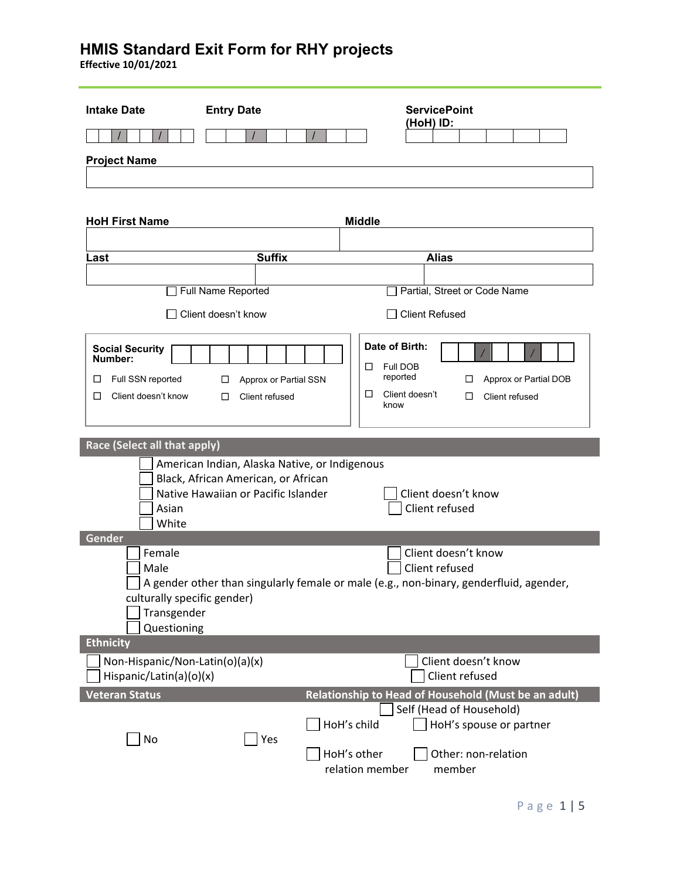| <b>Intake Date</b>                                                                           | <b>Entry Date</b>                                                                                                           | <b>ServicePoint</b>                                                                                                                    |
|----------------------------------------------------------------------------------------------|-----------------------------------------------------------------------------------------------------------------------------|----------------------------------------------------------------------------------------------------------------------------------------|
|                                                                                              | $\prime$                                                                                                                    | (HoH) ID:                                                                                                                              |
| <b>Project Name</b>                                                                          |                                                                                                                             |                                                                                                                                        |
|                                                                                              |                                                                                                                             |                                                                                                                                        |
| <b>HoH First Name</b>                                                                        |                                                                                                                             | <b>Middle</b>                                                                                                                          |
| Last                                                                                         | <b>Suffix</b>                                                                                                               | <b>Alias</b>                                                                                                                           |
|                                                                                              |                                                                                                                             |                                                                                                                                        |
|                                                                                              | Full Name Reported                                                                                                          | Partial, Street or Code Name                                                                                                           |
|                                                                                              | Client doesn't know                                                                                                         | <b>Client Refused</b>                                                                                                                  |
| <b>Social Security</b><br>Number:<br>Full SSN reported<br>$\Box$<br>Client doesn't know<br>□ | Approx or Partial SSN<br>□<br>□<br>Client refused                                                                           | Date of Birth:<br><b>Full DOB</b><br>□<br>reported<br>Approx or Partial DOB<br>ப<br>Client doesn't<br>□<br>Client refused<br>□<br>know |
| <b>Race (Select all that apply)</b>                                                          |                                                                                                                             |                                                                                                                                        |
| Asian<br>White                                                                               | American Indian, Alaska Native, or Indigenous<br>Black, African American, or African<br>Native Hawaiian or Pacific Islander | Client doesn't know<br>Client refused                                                                                                  |
| Gender                                                                                       |                                                                                                                             |                                                                                                                                        |
| Female<br>Male<br>culturally specific gender)<br>Transgender<br>Questioning                  |                                                                                                                             | Client doesn't know<br>Client refused<br>A gender other than singularly female or male (e.g., non-binary, genderfluid, agender,        |
| <b>Ethnicity</b>                                                                             |                                                                                                                             |                                                                                                                                        |
| Non-Hispanic/Non-Latin(o)(a)(x)<br>Hispanic/Latin(a)(o)(x)                                   |                                                                                                                             | Client doesn't know<br>Client refused                                                                                                  |
| <b>Veteran Status</b>                                                                        |                                                                                                                             | Relationship to Head of Household (Must be an adult)                                                                                   |
| No                                                                                           | Yes                                                                                                                         | Self (Head of Household)<br>HoH's child<br>HoH's spouse or partner<br>HoH's other<br>Other: non-relation<br>relation member<br>member  |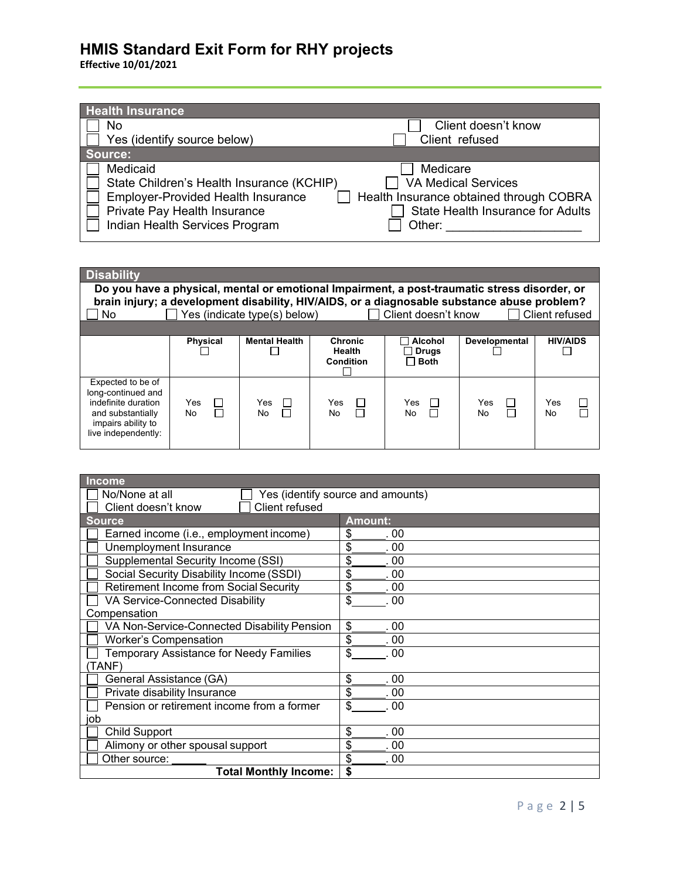| <b>Health Insurance</b>                   |                                          |
|-------------------------------------------|------------------------------------------|
| No                                        | Client doesn't know                      |
| Yes (identify source below)               | Client refused                           |
| Source:                                   |                                          |
| Medicaid                                  | Medicare                                 |
| State Children's Health Insurance (KCHIP) | <b>VA Medical Services</b>               |
| <b>Employer-Provided Health Insurance</b> | Health Insurance obtained through COBRA  |
| Private Pay Health Insurance              | <b>State Health Insurance for Adults</b> |
| Indian Health Services Program            | Other:                                   |

| <b>Disability</b>                                                                                                                                                                                                                                                           |                          |                      |                                              |                                               |                                 |                 |
|-----------------------------------------------------------------------------------------------------------------------------------------------------------------------------------------------------------------------------------------------------------------------------|--------------------------|----------------------|----------------------------------------------|-----------------------------------------------|---------------------------------|-----------------|
| Do you have a physical, mental or emotional Impairment, a post-traumatic stress disorder, or<br>brain injury; a development disability, HIV/AIDS, or a diagnosable substance abuse problem?<br>Yes (indicate type(s) below)<br>Client doesn't know<br>Client refused<br>No. |                          |                      |                                              |                                               |                                 |                 |
|                                                                                                                                                                                                                                                                             |                          |                      |                                              |                                               |                                 |                 |
|                                                                                                                                                                                                                                                                             | <b>Physical</b>          | <b>Mental Health</b> | <b>Chronic</b><br>Health<br><b>Condition</b> | <b>Alcohol</b><br><b>Drugs</b><br><b>Both</b> | Developmental                   | <b>HIV/AIDS</b> |
| Expected to be of<br>long-continued and<br>indefinite duration<br>and substantially<br>impairs ability to<br>live independently:                                                                                                                                            | Yes<br>$\Box$<br>П<br>No | Yes<br>No            | Yes<br>П<br>No.                              | Yes<br>No                                     | Yes<br>$\mathsf{L}$<br>П<br>No. | Yes<br>No.      |

| <b>Income</b>                                       |                |  |  |
|-----------------------------------------------------|----------------|--|--|
| Yes (identify source and amounts)<br>No/None at all |                |  |  |
| Client refused<br>Client doesn't know               |                |  |  |
| <b>Source</b>                                       | <b>Amount:</b> |  |  |
| Earned income (i.e., employment income)             | \$<br>00       |  |  |
| Unemployment Insurance                              | \$<br>00       |  |  |
| Supplemental Security Income (SSI)                  | \$<br>.00      |  |  |
| Social Security Disability Income (SSDI)            | \$<br>-00      |  |  |
| <b>Retirement Income from Social Security</b>       | \$<br>.00      |  |  |
| VA Service-Connected Disability                     | \$<br>. 00     |  |  |
| Compensation                                        |                |  |  |
| VA Non-Service-Connected Disability Pension         | \$<br>. 00     |  |  |
| <b>Worker's Compensation</b>                        | \$<br>. 00     |  |  |
| <b>Temporary Assistance for Needy Families</b>      | \$<br>. 00     |  |  |
| TANF)                                               |                |  |  |
| General Assistance (GA)                             | \$<br>00       |  |  |
| Private disability Insurance                        | \$<br>00       |  |  |
| Pension or retirement income from a former          | \$<br>-00      |  |  |
| job                                                 |                |  |  |
| <b>Child Support</b>                                | \$<br>. 00     |  |  |
| Alimony or other spousal support                    | \$<br>. 00     |  |  |
| Other source:                                       | \$<br>.00      |  |  |
| <b>Total Monthly Income:</b>                        | S              |  |  |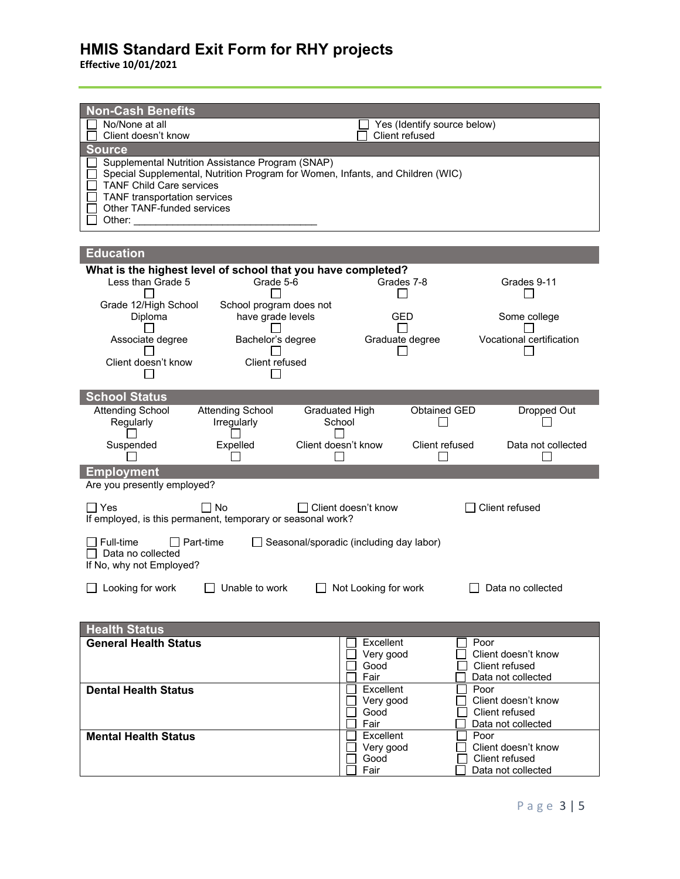| <b>Non-Cash Benefits</b>                                                           |                                         |                                       |
|------------------------------------------------------------------------------------|-----------------------------------------|---------------------------------------|
| No/None at all                                                                     | Yes (Identify source below)             |                                       |
| Client doesn't know<br><b>Source</b>                                               | Client refused                          |                                       |
| Supplemental Nutrition Assistance Program (SNAP)                                   |                                         |                                       |
| Special Supplemental, Nutrition Program for Women, Infants, and Children (WIC)     |                                         |                                       |
| <b>TANF Child Care services</b><br>TANF transportation services                    |                                         |                                       |
| Other TANF-funded services                                                         |                                         |                                       |
|                                                                                    |                                         |                                       |
| <b>Education</b>                                                                   |                                         |                                       |
| What is the highest level of school that you have completed?                       |                                         |                                       |
| Less than Grade 5<br>Grade 5-6                                                     | Grades 7-8                              | Grades 9-11                           |
| Grade 12/High School<br>School program does not                                    |                                         |                                       |
| have grade levels<br>Diploma                                                       | GED                                     | Some college                          |
| Bachelor's degree<br>Associate degree                                              | Graduate degree                         | Vocational certification              |
| Client doesn't know<br>Client refused                                              |                                         |                                       |
|                                                                                    |                                         |                                       |
| <b>School Status</b>                                                               |                                         |                                       |
| <b>Attending School</b><br><b>Attending School</b>                                 | Graduated High<br>Obtained GED          | Dropped Out                           |
| Regularly<br>Irregularly                                                           | School                                  |                                       |
|                                                                                    |                                         |                                       |
| Expelled<br>Suspended                                                              | Client doesn't know<br>Client refused   | Data not collected                    |
| <b>Employment</b>                                                                  |                                         |                                       |
| Are you presently employed?                                                        |                                         |                                       |
| $\Box$ No<br>l IYes<br>If employed, is this permanent, temporary or seasonal work? | □ Client doesn't know                   | Client refused                        |
| Full-time<br>$\Box$ Part-time                                                      | Seasonal/sporadic (including day labor) |                                       |
| $\Box$ Data no collected                                                           |                                         |                                       |
| If No, why not Employed?                                                           |                                         |                                       |
| □ Looking for work □ Unable to work                                                | $\Box$ Not Looking for work             | $\Box$ Data no collected              |
|                                                                                    |                                         |                                       |
| <b>Health Status</b>                                                               |                                         |                                       |
| <b>General Health Status</b>                                                       | Excellent                               | Poor<br>Client doesn't know           |
|                                                                                    | Very good<br>Good                       | Client refused                        |
|                                                                                    | Fair                                    | Data not collected<br>Poor            |
| <b>Dental Health Status</b>                                                        | Excellent<br>Very good                  | Client doesn't know                   |
|                                                                                    | Good<br>Fair                            | Client refused                        |
| <b>Mental Health Status</b>                                                        | Excellent                               | Data not collected<br>Poor            |
|                                                                                    | Very good<br>Good                       | Client doesn't know<br>Client refused |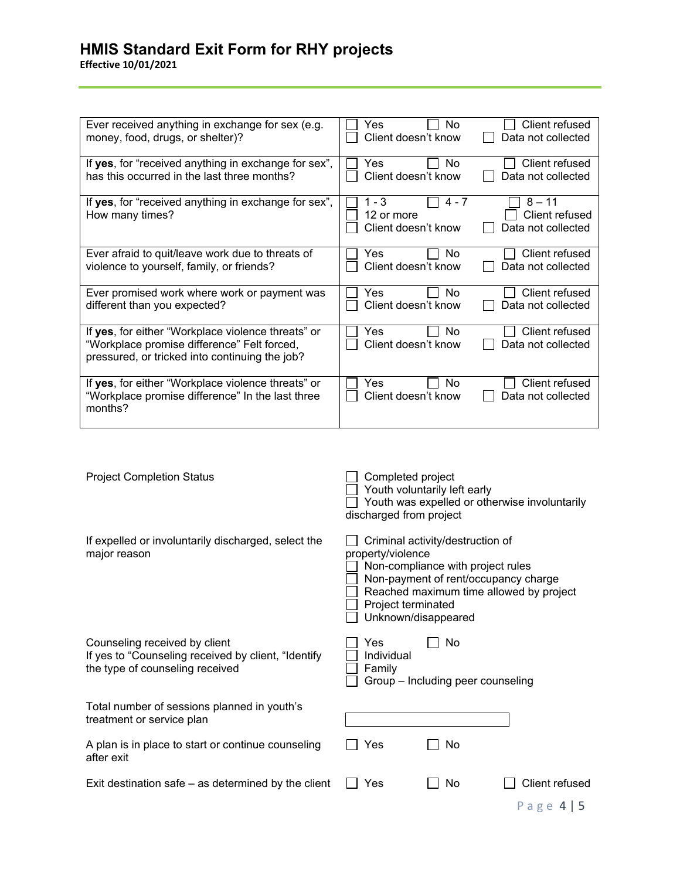**Effective 10/01/2021**

| Ever received anything in exchange for sex (e.g.<br>money, food, drugs, or shelter)?                                                                | Client refused<br>Yes<br>No<br>Client doesn't know<br>Data not collected                                                      |
|-----------------------------------------------------------------------------------------------------------------------------------------------------|-------------------------------------------------------------------------------------------------------------------------------|
| If yes, for "received anything in exchange for sex",<br>has this occurred in the last three months?                                                 | Client refused<br>Yes<br><b>No</b><br>Client doesn't know<br>Data not collected                                               |
| If yes, for "received anything in exchange for sex",<br>How many times?                                                                             | $1 - 3$<br>$8 - 11$<br>$4 - 7$<br>Client refused<br>12 or more<br>Client doesn't know<br>Data not collected                   |
| Ever afraid to quit/leave work due to threats of<br>violence to yourself, family, or friends?                                                       | Yes<br>Client refused<br>No<br>Client doesn't know<br>Data not collected                                                      |
| Ever promised work where work or payment was<br>different than you expected?                                                                        | Yes<br>Client refused<br>No<br>Client doesn't know<br>Data not collected                                                      |
| If yes, for either "Workplace violence threats" or<br>"Workplace promise difference" Felt forced,<br>pressured, or tricked into continuing the job? | Client refused<br>Yes<br>No<br>Client doesn't know<br>Data not collected                                                      |
| If yes, for either "Workplace violence threats" or<br>"Workplace promise difference" In the last three<br>months?                                   | Client refused<br>No<br>Yes<br>Client doesn't know<br>Data not collected                                                      |
|                                                                                                                                                     |                                                                                                                               |
| <b>Project Completion Status</b>                                                                                                                    | Completed project<br>Youth voluntarily left early<br>Youth was expelled or otherwise involuntarily<br>discharged from project |
| If expelled or involuntarily discharged, select the<br>major reason                                                                                 | Criminal activity/destruction of<br>property/violence<br>Non-compliance with project rules                                    |

Counseling received by client  $\Box$  Yes  $\Box$  No If yes to "Counseling received by client, "Identify the type of counseling received

Total number of sessions pla treatment or service plan

A plan is in place to start or c after exit

Exit destination safe  $-$  as det

| Individual |  |
|------------|--|
| Family     |  |

 Non-payment of rent/occupancy charge Reached maximum time allowed by project

Group – Including peer counseling

| anned in youth's                  |            |           |                       |
|-----------------------------------|------------|-----------|-----------------------|
| continue counseling               | $\Box$ Yes | $\Box$ No |                       |
| termined by the client $\Box$ Yes |            | $\Box$ No | $\Box$ Client refused |
|                                   |            |           | Page $4 5$            |

 Project terminated  $\Box$  Unknown/disappeared